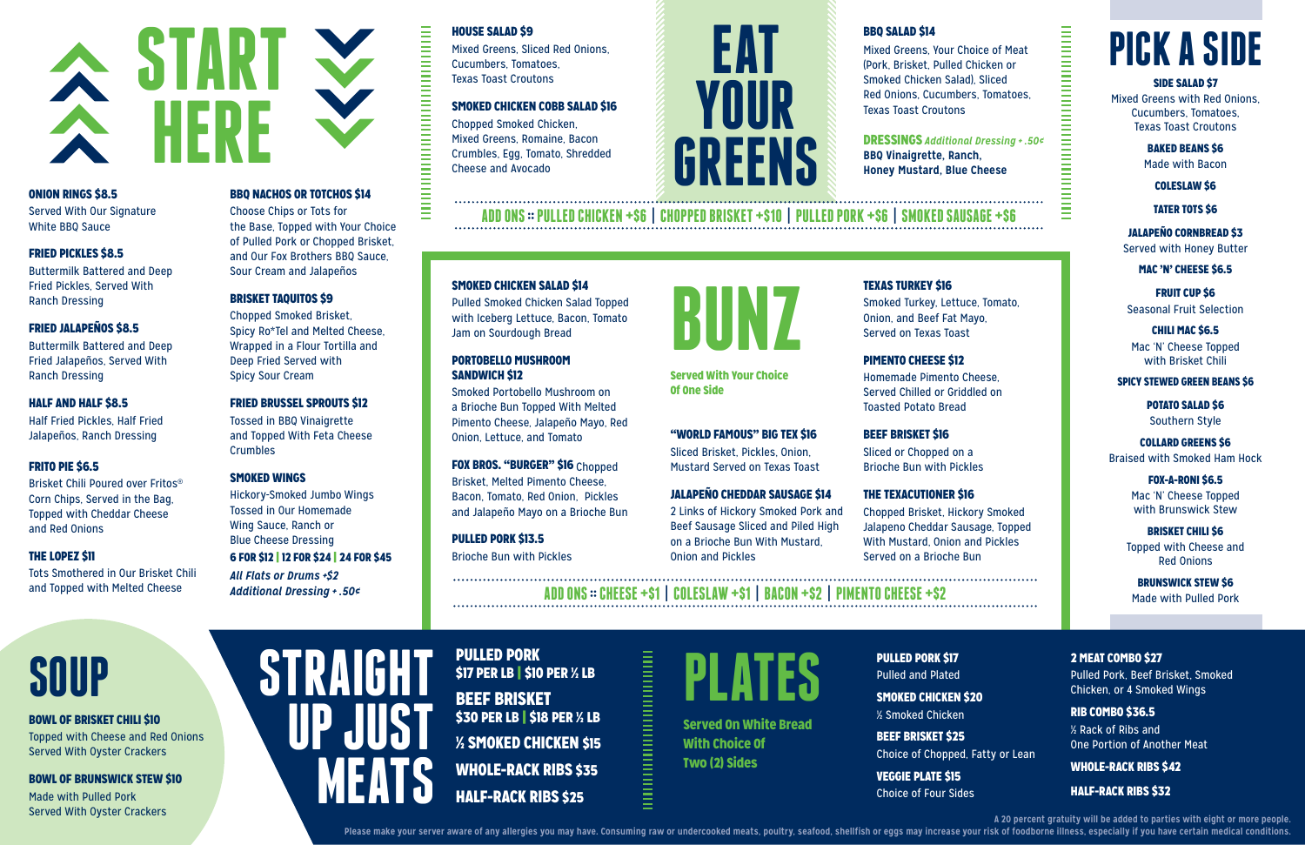#### HOUSE SALAD \$9

Mixed Greens, Sliced Red Onions, Cucumbers, Tomatoes, Texas Toast Croutons

#### SMOKED CHICKEN COBB SALAD \$16

Chopped Smoked Chicken, Mixed Greens, Romaine, Bacon Crumbles, Egg, Tomato, Shredded Cheese and Avocado

#### BBQ SALAD \$14

Mixed Greens, Your Choice of Meat (Pork, Brisket, Pulled Chicken or Smoked Chicken Salad), Sliced Red Onions, Cucumbers, Tomatoes, Texas Toast Croutons

DRESSINGS *Additional Dressing + .50¢* **BBQ Vinaigrette, Ranch, Honey Mustard, Blue Cheese**

||<br>||<br>|<br>|<br>|<br>|<br>|<br>|<br>|<br>|<br>|<br><br>|

**A 20 percent gratuity will be added to parties with eight or more people.** 

#### ONION RINGS \$8.5

Served With Our Signature White BBQ Sauce

> Tossed in BBQ Vinaigrette and Topped With Feta Cheese **Crumbles**

#### FRIED PICKLES \$8.5

Buttermilk Battered and Deep Fried Pickles, Served With Ranch Dressing

#### FRIED JALAPEÑOS \$8.5

Buttermilk Battered and Deep Fried Jalapeños, Served With Ranch Dressing

#### HALF AND HALF \$8.5

Half Fried Pickles, Half Fried Jalapeños, Ranch Dressing

#### FRITO PIE \$6.5

Brisket Chili Poured over Fritos® Corn Chips, Served in the Bag, Topped with Cheddar Cheese and Red Onions

#### THE LOPEZ \$11

Tots Smothered in Our Brisket Chili and Topped with Melted Cheese

#### BBQ NACHOS OR TOTCHOS \$14

Choose Chips or Tots for the Base, Topped with Your Choice of Pulled Pork or Chopped Brisket, and Our Fox Brothers BBQ Sauce, Sour Cream and Jalapeños

#### BRISKET TAQUITOS \$9

Chopped Smoked Brisket, Spicy Ro\*Tel and Melted Cheese, Wrapped in a Flour Tortilla and Deep Fried Served with Spicy Sour Cream

#### FRIED BRUSSEL SPROUTS \$12

#### SMOKED WINGS

Hickory-Smoked Jumbo Wings Tossed in Our Homemade Wing Sauce, Ranch or Blue Cheese Dressing

#### 6 FOR \$12 | 12 FOR \$24 | 24 FOR \$45

*All Flats or Drums +\$2 Additional Dressing + .50¢*

**MEATS**

#### PULLED PORK \$17

BRISKET CHILI \$6 Topped with Cheese and Red Onions

Pulled and Plated

SMOKED CHICKEN \$20 ½ Smoked Chicken BEEF BRISKET \$25 Choice of Chopped, Fatty or Lean VEGGIE PLATE \$15 Choice of Four Sides

Please make your server aware of any allergies you may have. Consuming raw or undercooked meats, poultry, seafood, shellfish or eggs may increase your risk of foodborne illness, especially if you have certain medical condi

2 MEAT COMBO \$27 Pulled Pork, Beef Brisket, Smoked Chicken, or 4 Smoked Wings

RIB COMBO \$36.5 ½ Rack of Ribs and One Portion of Another Meat

#### WHOLE-RACK RIBS \$42

#### HALF-RACK RIBS \$32

#### SMOKED CHICKEN SALAD \$14

Pulled Smoked Chicken Salad Topped with Iceberg Lettuce, Bacon, Tomato Jam on Sourdough Bread

#### PORTOBELLO MUSHROOM SANDWICH \$12

Smoked Portobello Mushroom on a Brioche Bun Topped With Melted Pimento Cheese, Jalapeño Mayo, Red Onion, Lettuce, and Tomato

#### FOX BROS. "BURGER" \$16 Chopped

Brisket, Melted Pimento Cheese, Bacon, Tomato, Red Onion, Pickles and Jalapeño Mayo on a Brioche Bun

PULLED PORK \$13.5 Brioche Bun with Pickles

#### "WORLD FAMOUS" BIG TEX \$16

Sliced Brisket, Pickles, Onion, Mustard Served on Texas Toast

#### JALAPEÑO CHEDDAR SAUSAGE \$14

2 Links of Hickory Smoked Pork and Beef Sausage Sliced and Piled High on a Brioche Bun With Mustard, Onion and Pickles

#### TEXAS TURKEY \$16

Smoked Turkey, Lettuce, Tomato, Onion, and Beef Fat Mayo, Served on Texas Toast

#### PIMENTO CHEESE \$12

Homemade Pimento Cheese, Served Chilled or Griddled on Toasted Potato Bread

#### BEEF BRISKET \$16

Sliced or Chopped on a Brioche Bun with Pickles

#### THE TEXACUTIONER \$16

Chopped Brisket, Hickory Smoked Jalapeno Cheddar Sausage, Topped With Mustard, Onion and Pickles Served on a Brioche Bun

**PICK A SIDE**

#### SIDE SALAD \$7

Mixed Greens with Red Onions, Cucumbers, Tomatoes, Texas Toast Croutons

> BAKED BEANS \$6 Made with Bacon

> > COLESLAW \$6

TATER TOTS \$6

JALAPEÑO CORNBREAD \$3 Served with Honey Butter

MAC 'N' CHEESE \$6.5

FRUIT CUP \$6 Seasonal Fruit Selection

CHILI MAC \$6.5 Mac 'N' Cheese Topped with Brisket Chili

#### SPICY STEWED GREEN BEANS \$6

POTATO SALAD \$6 Southern Style

COLLARD GREENS \$6 Braised with Smoked Ham Hock

> FOX-A-RONI \$6.5 Mac 'N' Cheese Topped with Brunswick Stew

> BRUNSWICK STEW \$6 Made with Pulled Pork

## **SOUP**

#### BOWL OF BRISKET CHILI \$10

Topped with Cheese and Red Onions Served With Oyster Crackers

#### BOWL OF BRUNSWICK STEW \$10

Made with Pulled Pork Served With Oyster Crackers

#### **STRAIGHT JUST** PULLED PORK \$17 PER LB | \$10 PER ½ LB BEEF BRISKET \$30 PER LB | \$18 PER ½ LB ½ SMOKED CHICKEN \$15 WHOLE-RACK RIBS \$35 **HALF-RACK RIBS \$25**

||<br>|<br>|<br>|<br>|<br>|<br>|<br>|<br>|



**ADD ONS :: CHEESE +\$1 | COLESLAW +\$1 | BACON +\$2 | PIMENTO CHEESE +\$2**

**ADD ONS :: PULLED CHICKEN +\$6 | CHOPPED BRISKET +\$10 | PULLED PORK +\$6 | SMOKED SAUSAGE +\$6**

**BUNZ**

Served With Your Choice Of One Side

**EAT**

**YOUR** 

**GREENS**



Two (2) Sides